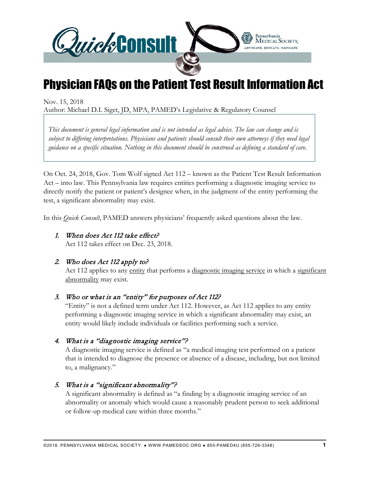

# Physician FAQs on the Patient Test Result Information Act

Nov. 15, 2018

Author: Michael D.I. Siget, JD, MPA, PAMED's Legislative & Regulatory Counsel

*This document is general legal information and is not intended as legal advice. The law can change and is subject to differing interpretations. Physicians and patients should consult their own attorneys if they need legal guidance on a specific situation. Nothing in this document should be construed as defining a standard of care.*

On Oct. 24, 2018, Gov. Tom Wolf signed Act 112 – known as the Patient Test Result Information Act – into law. This Pennsylvania law requires entities performing a diagnostic imaging service to directly notify the patient or patient's designee when, in the judgment of the entity performing the test, a significant abnormality may exist.

In this *Quick Consult*, PAMED answers physicians' frequently asked questions about the law.

#### 1. When does Act 112 take effect?

Act 112 takes effect on Dec. 23, 2018.

#### 2. Who does Act 112 apply to?

Act 112 applies to any entity that performs a diagnostic imaging service in which a significant abnormality may exist.

# 3. Who or what is an "entity" for purposes of Act 112?

"Entity" is not a defined term under Act 112. However, as Act 112 applies to any entity performing a diagnostic imaging service in which a significant abnormality may exist, an entity would likely include individuals or facilities performing such a service.

#### 4. What is a "diagnostic imaging service"?

A diagnostic imaging service is defined as "a medical imaging test performed on a patient that is intended to diagnose the presence or absence of a disease, including, but not limited to, a malignancy."

# 5. What is a "significant abnormality"?

A significant abnormality is defined as "a finding by a diagnostic imaging service of an abnormality or anomaly which would cause a reasonably prudent person to seek additional or follow-up medical care within three months."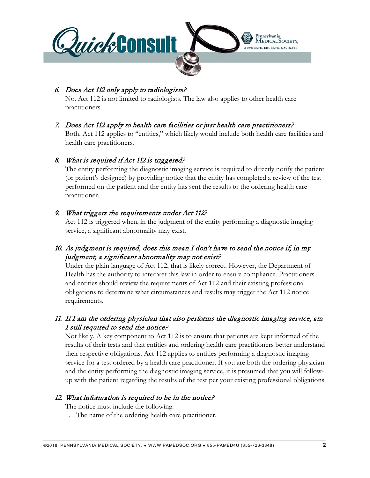

#### 6. Does Act 112 only apply to radiologists?

No. Act 112 is not limited to radiologists. The law also applies to other health care practitioners.

# 7. Does Act 112 apply to health care facilities or just health care practitioners?

Both. Act 112 applies to "entities," which likely would include both health care facilities and health care practitioners.

#### 8. What is required if Act 112 is triggered?

The entity performing the diagnostic imaging service is required to directly notify the patient (or patient's designee) by providing notice that the entity has completed a review of the test performed on the patient and the entity has sent the results to the ordering health care practitioner.

#### 9. What triggers the requirements under Act 112?

Act 112 is triggered when, in the judgment of the entity performing a diagnostic imaging service, a significant abnormality may exist.

# 10. As judgment is required, does this mean I don't have to send the notice if, in my judgment, a significant abnormality may not exist?

Under the plain language of Act 112, that is likely correct. However, the Department of Health has the authority to interpret this law in order to ensure compliance. Practitioners and entities should review the requirements of Act 112 and their existing professional obligations to determine what circumstances and results may trigger the Act 112 notice requirements.

# 11. If I am the ordering physician that also performs the diagnostic imaging service, am I still required to send the notice?

Not likely. A key component to Act 112 is to ensure that patients are kept informed of the results of their tests and that entities and ordering health care practitioners better understand their respective obligations. Act 112 applies to entities performing a diagnostic imaging service for a test ordered by a health care practitioner. If you are both the ordering physician and the entity performing the diagnostic imaging service, it is presumed that you will followup with the patient regarding the results of the test per your existing professional obligations.

# 12. What information is required to be in the notice?

The notice must include the following:

1. The name of the ordering health care practitioner.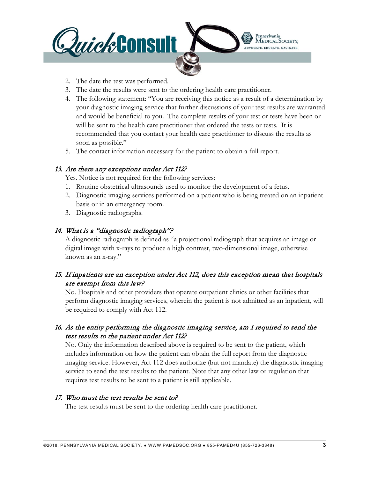

- 2. The date the test was performed.
- 3. The date the results were sent to the ordering health care practitioner.
- 4. The following statement: "You are receiving this notice as a result of a determination by your diagnostic imaging service that further discussions of your test results are warranted and would be beneficial to you. The complete results of your test or tests have been or will be sent to the health care practitioner that ordered the tests or tests. It is recommended that you contact your health care practitioner to discuss the results as soon as possible."
- 5. The contact information necessary for the patient to obtain a full report.

#### 13. Are there any exceptions under Act 112?

Yes. Notice is not required for the following services:

- 1. Routine obstetrical ultrasounds used to monitor the development of a fetus.
- 2. Diagnostic imaging services performed on a patient who is being treated on an inpatient basis or in an emergency room.
- 3. Diagnostic radiographs.

# 14. What is a "diagnostic radiograph"?

A diagnostic radiograph is defined as "a projectional radiograph that acquires an image or digital image with x-rays to produce a high contrast, two-dimensional image, otherwise known as an x-ray."

# 15. If inpatients are an exception under Act 112, does this exception mean that hospitals are exempt from this law?

No. Hospitals and other providers that operate outpatient clinics or other facilities that perform diagnostic imaging services, wherein the patient is not admitted as an inpatient, will be required to comply with Act 112.

# 16. As the entity performing the diagnostic imaging service, am I required to send the test results to the patient under Act 112?

No. Only the information described above is required to be sent to the patient, which includes information on how the patient can obtain the full report from the diagnostic imaging service. However, Act 112 does authorize (but not mandate) the diagnostic imaging service to send the test results to the patient. Note that any other law or regulation that requires test results to be sent to a patient is still applicable.

# 17. Who must the test results be sent to?

The test results must be sent to the ordering health care practitioner.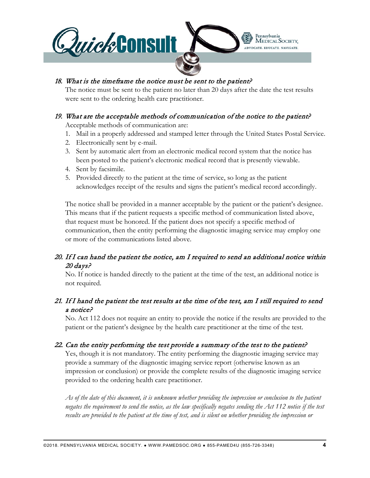

#### 18. What is the timeframe the notice must be sent to the patient?

The notice must be sent to the patient no later than 20 days after the date the test results were sent to the ordering health care practitioner.

# 19. What are the acceptable methods of communication of the notice to the patient?

Acceptable methods of communication are:

- 1. Mail in a properly addressed and stamped letter through the United States Postal Service.
- 2. Electronically sent by e-mail.
- 3. Sent by automatic alert from an electronic medical record system that the notice has been posted to the patient's electronic medical record that is presently viewable.
- 4. Sent by facsimile.
- 5. Provided directly to the patient at the time of service, so long as the patient acknowledges receipt of the results and signs the patient's medical record accordingly.

The notice shall be provided in a manner acceptable by the patient or the patient's designee. This means that if the patient requests a specific method of communication listed above, that request must be honored. If the patient does not specify a specific method of communication, then the entity performing the diagnostic imaging service may employ one or more of the communications listed above.

# 20. If I can hand the patient the notice, am I required to send an additional notice within 20 days?

No. If notice is handed directly to the patient at the time of the test, an additional notice is not required.

# 21. If I hand the patient the test results at the time of the test, am I still required to send a notice?

No. Act 112 does not require an entity to provide the notice if the results are provided to the patient or the patient's designee by the health care practitioner at the time of the test.

# 22. Can the entity performing the test provide a summary of the test to the patient?

Yes, though it is not mandatory. The entity performing the diagnostic imaging service may provide a summary of the diagnostic imaging service report (otherwise known as an impression or conclusion) or provide the complete results of the diagnostic imaging service provided to the ordering health care practitioner.

*As of the date of this document, it is unknown whether providing the impression or conclusion to the patient negates the requirement to send the notice, as the law specifically negates sending the Act 112 notice if the test results are provided to the patient at the time of test, and is silent on whether providing the impression or*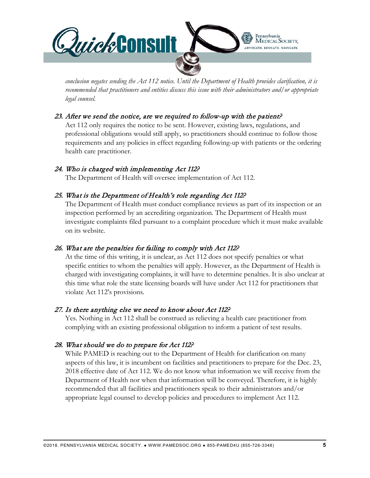

*conclusion negates sending the Act 112 notice. Until the Department of Health provides clarification, it is recommended that practitioners and entities discuss this issue with their administrators and/or appropriate legal counsel.*

#### 23. After we send the notice, are we required to follow-up with the patient?

Act 112 only requires the notice to be sent. However, existing laws, regulations, and professional obligations would still apply, so practitioners should continue to follow those requirements and any policies in effect regarding following-up with patients or the ordering health care practitioner.

#### 24. Who is charged with implementing Act 112?

The Department of Health will oversee implementation of Act 112.

#### 25. What is the Department of Health's role regarding Act 112?

The Department of Health must conduct compliance reviews as part of its inspection or an inspection performed by an accrediting organization. The Department of Health must investigate complaints filed pursuant to a complaint procedure which it must make available on its website.

# 26. What are the penalties for failing to comply with Act 112?

At the time of this writing, it is unclear, as Act 112 does not specify penalties or what specific entities to whom the penalties will apply. However, as the Department of Health is charged with investigating complaints, it will have to determine penalties. It is also unclear at this time what role the state licensing boards will have under Act 112 for practitioners that violate Act 112's provisions.

#### 27. Is there anything else we need to know about Act 112?

Yes. Nothing in Act 112 shall be construed as relieving a health care practitioner from complying with an existing professional obligation to inform a patient of test results.

# 28. What should we do to prepare for Act 112?

While PAMED is reaching out to the Department of Health for clarification on many aspects of this law, it is incumbent on facilities and practitioners to prepare for the Dec. 23, 2018 effective date of Act 112. We do not know what information we will receive from the Department of Health nor when that information will be conveyed. Therefore, it is highly recommended that all facilities and practitioners speak to their administrators and/or appropriate legal counsel to develop policies and procedures to implement Act 112.